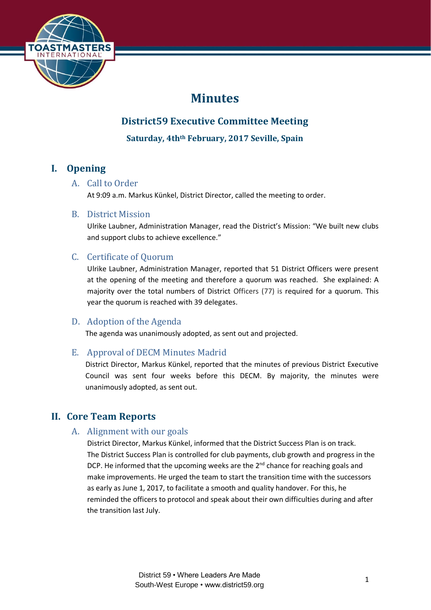

# **Minutes**

# **District59 Executive Committee Meeting**

**Saturday, 4thth February, 2017 Seville, Spain**

# **I. Opening**

# A. Call to Order

At 9:09 a.m. Markus Künkel, District Director, called the meeting to order.

# B. District Mission

Ulrike Laubner, Administration Manager, read the District's Mission: "We built new clubs and support clubs to achieve excellence."

# C. Certificate of Quorum

Ulrike Laubner, Administration Manager, reported that 51 District Officers were present at the opening of the meeting and therefore a quorum was reached. She explained: A majority over the total numbers of District Officers (77) is required for a quorum. This year the quorum is reached with 39 delegates.

# D. Adoption of the Agenda

The agenda was unanimously adopted, as sent out and projected.

# E. Approval of DECM Minutes Madrid

District Director, Markus Künkel, reported that the minutes of previous District Executive Council was sent four weeks before this DECM. By majority, the minutes were unanimously adopted, as sent out.

# **II. Core Team Reports**

# A. Alignment with our goals

District Director, Markus Künkel, informed that the District Success Plan is on track. The District Success Plan is controlled for club payments, club growth and progress in the DCP. He informed that the upcoming weeks are the  $2<sup>nd</sup>$  chance for reaching goals and make improvements. He urged the team to start the transition time with the successors as early as June 1, 2017, to facilitate a smooth and quality handover. For this, he reminded the officers to protocol and speak about their own difficulties during and after the transition last July.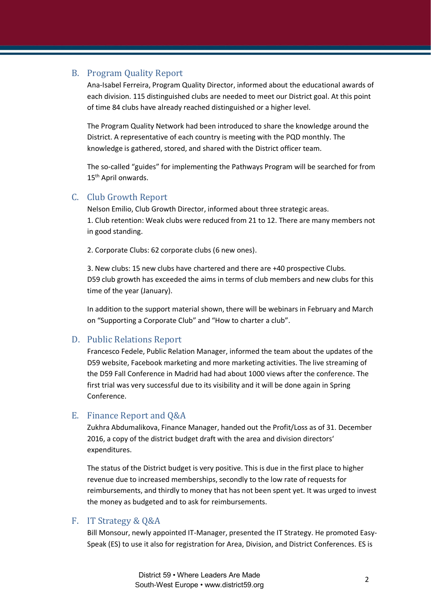## B. Program Quality Report

Ana-Isabel Ferreira, Program Quality Director, informed about the educational awards of each division. 115 distinguished clubs are needed to meet our District goal. At this point of time 84 clubs have already reached distinguished or a higher level.

The Program Quality Network had been introduced to share the knowledge around the District. A representative of each country is meeting with the PQD monthly. The knowledge is gathered, stored, and shared with the District officer team.

The so-called "guides" for implementing the Pathways Program will be searched for from 15<sup>th</sup> April onwards.

## C. Club Growth Report

Nelson Emilio, Club Growth Director, informed about three strategic areas. 1. Club retention: Weak clubs were reduced from 21 to 12. There are many members not in good standing.

2. Corporate Clubs: 62 corporate clubs (6 new ones).

3. New clubs: 15 new clubs have chartered and there are +40 prospective Clubs. D59 club growth has exceeded the aims in terms of club members and new clubs for this time of the year (January).

In addition to the support material shown, there will be webinars in February and March on "Supporting a Corporate Club" and "How to charter a club".

# D. Public Relations Report

Francesco Fedele, Public Relation Manager, informed the team about the updates of the D59 website, Facebook marketing and more marketing activities. The live streaming of the D59 Fall Conference in Madrid had had about 1000 views after the conference. The first trial was very successful due to its visibility and it will be done again in Spring Conference.

#### E. Finance Report and Q&A

Zukhra Abdumalikova, Finance Manager, handed out the Profit/Loss as of 31. December 2016, a copy of the district budget draft with the area and division directors' expenditures.

The status of the District budget is very positive. This is due in the first place to higher revenue due to increased memberships, secondly to the low rate of requests for reimbursements, and thirdly to money that has not been spent yet. It was urged to invest the money as budgeted and to ask for reimbursements.

## F. IT Strategy & Q&A

Bill Monsour, newly appointed IT-Manager, presented the IT Strategy. He promoted Easy-Speak (ES) to use it also for registration for Area, Division, and District Conferences. ES is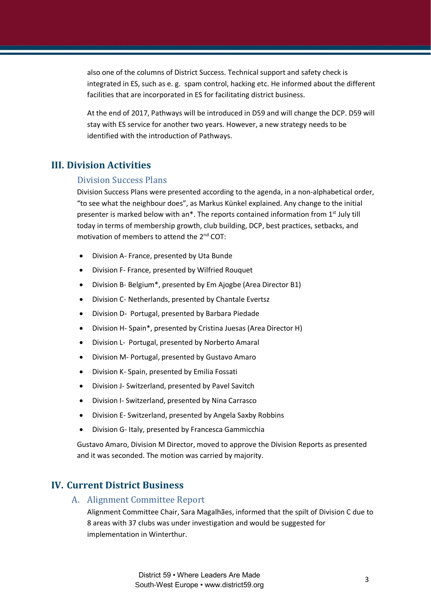also one of the columns of District Success. Technical support and safety check is integrated in ES, such as e. g. spam control, hacking etc. He informed about the different facilities that are incorporated in ES for facilitating district business.

At the end of 2017, Pathways will be introduced in D59 and will change the DCP. D59 will stay with ES service for another two years. However, a new strategy needs to be identified with the introduction of Pathways.

# **III. Division Activities**

## Division Success Plans

Division Success Plans were presented according to the agenda, in a non-alphabetical order, "to see what the neighbour does", as Markus Künkel explained. Any change to the initial presenter is marked below with an\*. The reports contained information from  $1<sup>st</sup>$  July till today in terms of membership growth, club building, DCP, best practices, setbacks, and motivation of members to attend the  $2^{nd}$  COT:

- Division A- France, presented by Uta Bunde
- Division F- France, presented by Wilfried Rouquet
- Division B- Belgium\*, presented by Em Ajogbe (Area Director B1)
- Division C- Netherlands, presented by Chantale Evertsz
- Division D- Portugal, presented by Barbara Piedade
- Division H- Spain\*, presented by Cristina Juesas (Area Director H)
- Division L- Portugal, presented by Norberto Amaral
- Division M- Portugal, presented by Gustavo Amaro
- Division K- Spain, presented by Emilia Fossati
- Division J- Switzerland, presented by Pavel Savitch
- Division I- Switzerland, presented by Nina Carrasco
- Division E- Switzerland, presented by Angela Saxby Robbins
- Division G- Italy, presented by Francesca Gammicchia

Gustavo Amaro, Division M Director, moved to approve the Division Reports as presented and it was seconded. The motion was carried by majority.

# **IV. Current District Business**

#### A. Alignment Committee Report

Alignment Committee Chair, Sara Magalhães, informed that the spilt of Division C due to 8 areas with 37 clubs was under investigation and would be suggested for implementation in Winterthur.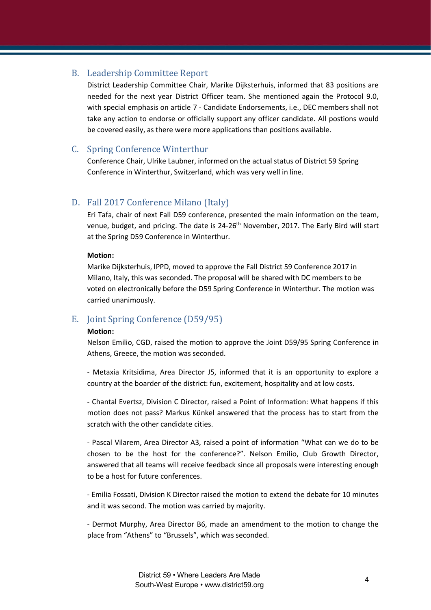## B. Leadership Committee Report

District Leadership Committee Chair, Marike Dijksterhuis, informed that 83 positions are needed for the next year District Officer team. She mentioned again the Protocol 9.0, with special emphasis on article 7 - Candidate Endorsements, i.e., DEC members shall not take any action to endorse or officially support any officer candidate. All postions would be covered easily, as there were more applications than positions available.

# C. Spring Conference Winterthur

Conference Chair, Ulrike Laubner, informed on the actual status of District 59 Spring Conference in Winterthur, Switzerland, which was very well in line.

## D. Fall 2017 Conference Milano (Italy)

Eri Tafa, chair of next Fall D59 conference, presented the main information on the team, venue, budget, and pricing. The date is 24-26<sup>th</sup> November, 2017. The Early Bird will start at the Spring D59 Conference in Winterthur.

#### **Motion:**

Marike Dijksterhuis, IPPD, moved to approve the Fall District 59 Conference 2017 in Milano, Italy, this was seconded. The proposal will be shared with DC members to be voted on electronically before the D59 Spring Conference in Winterthur. The motion was carried unanimously.

# E. Joint Spring Conference (D59/95)

#### **Motion:**

Nelson Emilio, CGD, raised the motion to approve the Joint D59/95 Spring Conference in Athens, Greece, the motion was seconded.

- Metaxia Kritsidima, Area Director J5, informed that it is an opportunity to explore a country at the boarder of the district: fun, excitement, hospitality and at low costs.

- Chantal Evertsz, Division C Director, raised a Point of Information: What happens if this motion does not pass? Markus Künkel answered that the process has to start from the scratch with the other candidate cities.

- Pascal Vilarem, Area Director A3, raised a point of information "What can we do to be chosen to be the host for the conference?". Nelson Emilio, Club Growth Director, answered that all teams will receive feedback since all proposals were interesting enough to be a host for future conferences.

- Emilia Fossati, Division K Director raised the motion to extend the debate for 10 minutes and it was second. The motion was carried by majority.

- Dermot Murphy, Area Director B6, made an amendment to the motion to change the place from "Athens" to "Brussels", which was seconded.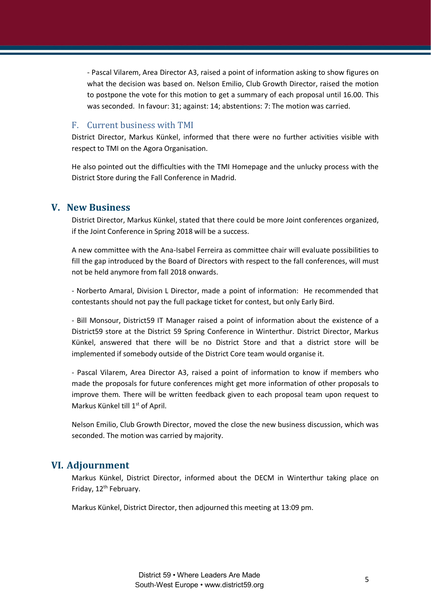- Pascal Vilarem, Area Director A3, raised a point of information asking to show figures on what the decision was based on. Nelson Emilio, Club Growth Director, raised the motion to postpone the vote for this motion to get a summary of each proposal until 16.00. This was seconded. In favour: 31; against: 14; abstentions: 7: The motion was carried.

#### F. Current business with TMI

District Director, Markus Künkel, informed that there were no further activities visible with respect to TMI on the Agora Organisation.

He also pointed out the difficulties with the TMI Homepage and the unlucky process with the District Store during the Fall Conference in Madrid.

## **V. New Business**

District Director, Markus Künkel, stated that there could be more Joint conferences organized, if the Joint Conference in Spring 2018 will be a success.

A new committee with the Ana-Isabel Ferreira as committee chair will evaluate possibilities to fill the gap introduced by the Board of Directors with respect to the fall conferences, will must not be held anymore from fall 2018 onwards.

- Norberto Amaral, Division L Director, made a point of information: He recommended that contestants should not pay the full package ticket for contest, but only Early Bird.

- Bill Monsour, District59 IT Manager raised a point of information about the existence of a District59 store at the District 59 Spring Conference in Winterthur. District Director, Markus Künkel, answered that there will be no District Store and that a district store will be implemented if somebody outside of the District Core team would organise it.

- Pascal Vilarem, Area Director A3, raised a point of information to know if members who made the proposals for future conferences might get more information of other proposals to improve them. There will be written feedback given to each proposal team upon request to Markus Künkel till 1<sup>st</sup> of April.

Nelson Emilio, Club Growth Director, moved the close the new business discussion, which was seconded. The motion was carried by majority.

#### **VI. Adjournment**

Markus Künkel, District Director, informed about the DECM in Winterthur taking place on Friday, 12<sup>th</sup> February.

Markus Künkel, District Director, then adjourned this meeting at 13:09 pm.